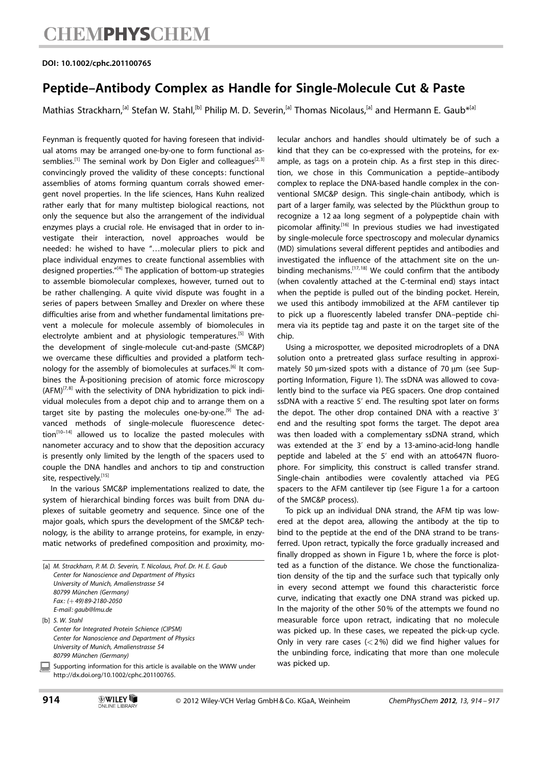#### DOI: 10.1002/cphc.201100765

### Peptide–Antibody Complex as Handle for Single-Molecule Cut & Paste

Mathias Strackharn,<sup>[a]</sup> Stefan W. Stahl,<sup>[b]</sup> Philip M. D. Severin,<sup>[a]</sup> Thomas Nicolaus,<sup>[a]</sup> and Hermann E. Gaub<sup>\*[a]</sup>

Feynman is frequently quoted for having foreseen that individual atoms may be arranged one-by-one to form functional assemblies.<sup>[1]</sup> The seminal work by Don Eigler and colleagues<sup>[2,3]</sup> convincingly proved the validity of these concepts: functional assemblies of atoms forming quantum corrals showed emergent novel properties. In the life sciences, Hans Kuhn realized rather early that for many multistep biological reactions, not only the sequence but also the arrangement of the individual enzymes plays a crucial role. He envisaged that in order to investigate their interaction, novel approaches would be needed: he wished to have "…molecular pliers to pick and place individual enzymes to create functional assemblies with designed properties."[4] The application of bottom-up strategies to assemble biomolecular complexes, however, turned out to be rather challenging. A quite vivid dispute was fought in a series of papers between Smalley and Drexler on where these difficulties arise from and whether fundamental limitations prevent a molecule for molecule assembly of biomolecules in electrolyte ambient and at physiologic temperatures.<sup>[5]</sup> With the development of single-molecule cut-and-paste (SMC&P) we overcame these difficulties and provided a platform technology for the assembly of biomolecules at surfaces.<sup>[6]</sup> It combines the Å-positioning precision of atomic force microscopy  $(AFM)^{[7,8]}$  with the selectivity of DNA hybridization to pick individual molecules from a depot chip and to arrange them on a target site by pasting the molecules one-by-one.<sup>[9]</sup> The advanced methods of single-molecule fluorescence detec $tion^{[10-14]}$  allowed us to localize the pasted molecules with nanometer accuracy and to show that the deposition accuracy is presently only limited by the length of the spacers used to couple the DNA handles and anchors to tip and construction site, respectively.[15]

In the various SMC&P implementations realized to date, the system of hierarchical binding forces was built from DNA duplexes of suitable geometry and sequence. Since one of the major goals, which spurs the development of the SMC&P technology, is the ability to arrange proteins, for example, in enzymatic networks of predefined composition and proximity, mo-

| [a] M. Strackharn, P. M. D. Severin, T. Nicolaus, Prof. Dr. H. E. Gaub<br>Center for Nanoscience and Department of Physics |
|----------------------------------------------------------------------------------------------------------------------------|
| University of Munich, Amalienstrasse 54                                                                                    |
| 80799 München (Germany)                                                                                                    |
| Fax: $(+ 49)89 - 2180 - 2050$                                                                                              |
| E-mail: gaub@lmu.de                                                                                                        |
| [b] S. W. Stahl                                                                                                            |
| Center for Integrated Protein Schience (CIPSM)                                                                             |
| Center for Nanoscience and Department of Physics                                                                           |
| University of Munich, Amalienstrasse 54                                                                                    |
| 80799 München (Germany)                                                                                                    |
| Supporting information for this article is available on the WWW under<br>http://dx.doi.org/10.1002/cphc.201100765.         |
|                                                                                                                            |

lecular anchors and handles should ultimately be of such a kind that they can be co-expressed with the proteins, for example, as tags on a protein chip. As a first step in this direction, we chose in this Communication a peptide–antibody complex to replace the DNA-based handle complex in the conventional SMC&P design. This single-chain antibody, which is part of a larger family, was selected by the Plückthun group to recognize a 12 aa long segment of a polypeptide chain with picomolar affinity.[16] In previous studies we had investigated by single-molecule force spectroscopy and molecular dynamics (MD) simulations several different peptides and antibodies and investigated the influence of the attachment site on the unbinding mechanisms.<sup>[17, 18]</sup> We could confirm that the antibody (when covalently attached at the C-terminal end) stays intact when the peptide is pulled out of the binding pocket. Herein, we used this antibody immobilized at the AFM cantilever tip to pick up a fluorescently labeled transfer DNA–peptide chimera via its peptide tag and paste it on the target site of the chip.

Using a microspotter, we deposited microdroplets of a DNA solution onto a pretreated glass surface resulting in approximately 50 µm-sized spots with a distance of 70 µm (see Supporting Information, Figure 1). The ssDNA was allowed to covalently bind to the surface via PEG spacers. One drop contained ssDNA with a reactive 5' end. The resulting spot later on forms the depot. The other drop contained DNA with a reactive 3' end and the resulting spot forms the target. The depot area was then loaded with a complementary ssDNA strand, which was extended at the 3' end by a 13-amino-acid-long handle peptide and labeled at the 5' end with an atto647N fluorophore. For simplicity, this construct is called transfer strand. Single-chain antibodies were covalently attached via PEG spacers to the AFM cantilever tip (see Figure 1 a for a cartoon of the SMC&P process).

To pick up an individual DNA strand, the AFM tip was lowered at the depot area, allowing the antibody at the tip to bind to the peptide at the end of the DNA strand to be transferred. Upon retract, typically the force gradually increased and finally dropped as shown in Figure 1 b, where the force is plotted as a function of the distance. We chose the functionalization density of the tip and the surface such that typically only in every second attempt we found this characteristic force curve, indicating that exactly one DNA strand was picked up. In the majority of the other 50% of the attempts we found no measurable force upon retract, indicating that no molecule was picked up. In these cases, we repeated the pick-up cycle. Only in very rare cases  $(<2%)$  did we find higher values for the unbinding force, indicating that more than one molecule was picked up.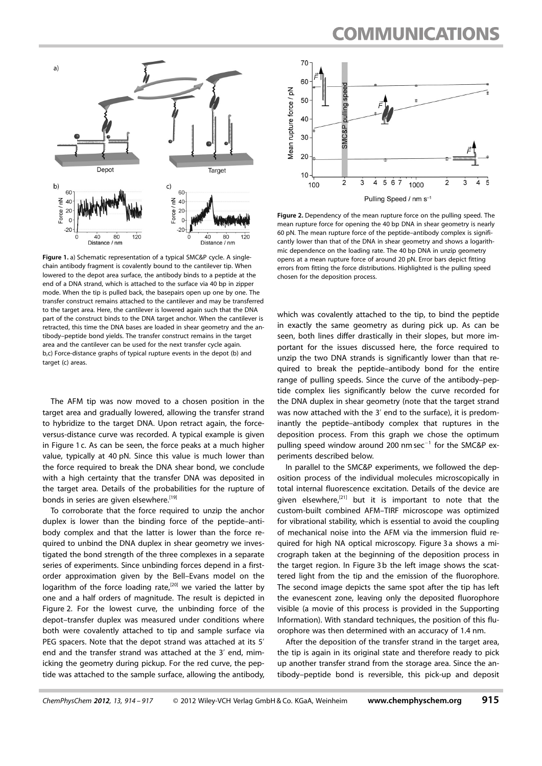### **COMMUNICATIONS**



Figure 1. a) Schematic representation of a typical SMC&P cycle. A singlechain antibody fragment is covalently bound to the cantilever tip. When lowered to the depot area surface, the antibody binds to a peptide at the end of a DNA strand, which is attached to the surface via 40 bp in zipper mode. When the tip is pulled back, the basepairs open up one by one. The transfer construct remains attached to the cantilever and may be transferred to the target area. Here, the cantilever is lowered again such that the DNA part of the construct binds to the DNA target anchor. When the cantilever is retracted, this time the DNA bases are loaded in shear geometry and the antibody–peptide bond yields. The transfer construct remains in the target area and the cantilever can be used for the next transfer cycle again. b,c) Force-distance graphs of typical rupture events in the depot (b) and target (c) areas.

The AFM tip was now moved to a chosen position in the target area and gradually lowered, allowing the transfer strand to hybridize to the target DNA. Upon retract again, the forceversus-distance curve was recorded. A typical example is given in Figure 1 c. As can be seen, the force peaks at a much higher value, typically at 40 pN. Since this value is much lower than the force required to break the DNA shear bond, we conclude with a high certainty that the transfer DNA was deposited in the target area. Details of the probabilities for the rupture of bonds in series are given elsewhere.<sup>[19]</sup>

To corroborate that the force required to unzip the anchor duplex is lower than the binding force of the peptide–antibody complex and that the latter is lower than the force required to unbind the DNA duplex in shear geometry we investigated the bond strength of the three complexes in a separate series of experiments. Since unbinding forces depend in a firstorder approximation given by the Bell–Evans model on the logarithm of the force loading rate, $[20]$  we varied the latter by one and a half orders of magnitude. The result is depicted in Figure 2. For the lowest curve, the unbinding force of the depot–transfer duplex was measured under conditions where both were covalently attached to tip and sample surface via PEG spacers. Note that the depot strand was attached at its 5' end and the transfer strand was attached at the 3' end, mimicking the geometry during pickup. For the red curve, the peptide was attached to the sample surface, allowing the antibody,



Figure 2. Dependency of the mean rupture force on the pulling speed. The mean rupture force for opening the 40 bp DNA in shear geometry is nearly 60 pN. The mean rupture force of the peptide–antibody complex is significantly lower than that of the DNA in shear geometry and shows a logarithmic dependence on the loading rate. The 40 bp DNA in unzip geometry opens at a mean rupture force of around 20 pN. Error bars depict fitting errors from fitting the force distributions. Highlighted is the pulling speed chosen for the deposition process.

which was covalently attached to the tip, to bind the peptide in exactly the same geometry as during pick up. As can be seen, both lines differ drastically in their slopes, but more important for the issues discussed here, the force required to unzip the two DNA strands is significantly lower than that required to break the peptide–antibody bond for the entire range of pulling speeds. Since the curve of the antibody–peptide complex lies significantly below the curve recorded for the DNA duplex in shear geometry (note that the target strand was now attached with the 3' end to the surface), it is predominantly the peptide–antibody complex that ruptures in the deposition process. From this graph we chose the optimum pulling speed window around 200 nm  $sec^{-1}$  for the SMC&P experiments described below.

In parallel to the SMC&P experiments, we followed the deposition process of the individual molecules microscopically in total internal fluorescence excitation. Details of the device are given elsewhere, $[21]$  but it is important to note that the custom-built combined AFM–TIRF microscope was optimized for vibrational stability, which is essential to avoid the coupling of mechanical noise into the AFM via the immersion fluid required for high NA optical microscopy. Figure 3 a shows a micrograph taken at the beginning of the deposition process in the target region. In Figure 3 b the left image shows the scattered light from the tip and the emission of the fluorophore. The second image depicts the same spot after the tip has left the evanescent zone, leaving only the deposited fluorophore visible (a movie of this process is provided in the Supporting Information). With standard techniques, the position of this fluorophore was then determined with an accuracy of 1.4 nm.

After the deposition of the transfer strand in the target area, the tip is again in its original state and therefore ready to pick up another transfer strand from the storage area. Since the antibody–peptide bond is reversible, this pick-up and deposit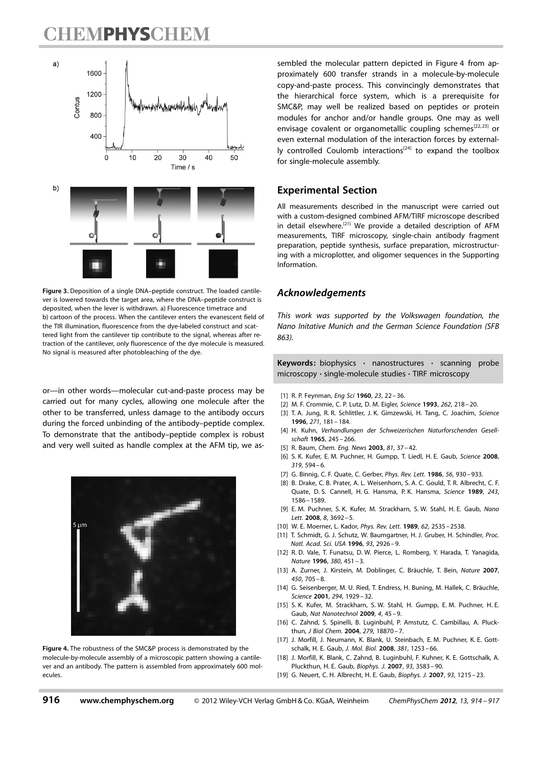## **TEMPHYSCHEM**



Figure 3. Deposition of a single DNA–peptide construct. The loaded cantilever is lowered towards the target area, where the DNA–peptide construct is deposited, when the lever is withdrawn. a) Fluorescence timetrace and b) cartoon of the process. When the cantilever enters the evanescent field of the TIR illumination, fluorescence from the dye-labeled construct and scattered light from the cantilever tip contribute to the signal, whereas after retraction of the cantilever, only fluorescence of the dye molecule is measured. No signal is measured after photobleaching of the dye.

or—in other words—molecular cut-and-paste process may be carried out for many cycles, allowing one molecule after the other to be transferred, unless damage to the antibody occurs during the forced unbinding of the antibody–peptide complex. To demonstrate that the antibody–peptide complex is robust and very well suited as handle complex at the AFM tip, we as-



Figure 4. The robustness of the SMC&P process is demonstrated by the molecule-by-molecule assembly of a microscopic pattern showing a cantilever and an antibody. The pattern is assembled from approximately 600 molecules.

sembled the molecular pattern depicted in Figure 4 from approximately 600 transfer strands in a molecule-by-molecule copy-and-paste process. This convincingly demonstrates that the hierarchical force system, which is a prerequisite for SMC&P, may well be realized based on peptides or protein modules for anchor and/or handle groups. One may as well envisage covalent or organometallic coupling schemes<sup>[22, 23]</sup> or even external modulation of the interaction forces by externally controlled Coulomb interactions<sup>[24]</sup> to expand the toolbox for single-molecule assembly.

### Experimental Section

All measurements described in the manuscript were carried out with a custom-designed combined AFM/TIRF microscope described in detail elsewhere.[21] We provide a detailed description of AFM measurements, TIRF microscopy, single-chain antibody fragment preparation, peptide synthesis, surface preparation, microstructuring with a microplotter, and oligomer sequences in the Supporting Information.

### Acknowledgements

This work was supported by the Volkswagen foundation, the Nano Initative Munich and the German Science Foundation (SFB 863).

Keywords: biophysics · nanostructures · scanning probe microscopy · single-molecule studies · TIRF microscopy

- [1] R. P. Feynman, *Eng Sci* 1960, 23, 22 36.
- [2] M. F. Crommie, C. P. Lutz, D. M. Eigler, [Science](http://dx.doi.org/10.1126/science.262.5131.218) 1993, 262[, 218 20.](http://dx.doi.org/10.1126/science.262.5131.218)
- [3] T. A. Jung, R. R. Schlittler, J. K. Gimzewski, H. Tang, C. Joachim, [Science](http://dx.doi.org/10.1126/science.271.5246.181) [1996](http://dx.doi.org/10.1126/science.271.5246.181), 271[, 181 – 184.](http://dx.doi.org/10.1126/science.271.5246.181)
- [4] H. Kuhn, Verhandlungen der Schweizerischen Naturforschenden Gesellschaft 1965, 245 – 266.
- [5] R. Baum, Chem. Eng. News 2003, 81, 37 42.
- [6] S. K. Kufer, E. M. Puchner, H. Gumpp, T. Liedl, H. E. Gaub, [Science](http://dx.doi.org/10.1126/science.1151424) 2008, 319[, 594 – 6.](http://dx.doi.org/10.1126/science.1151424)
- [7] G. Binnig, C. F. Quate, C. Gerber, *[Phys. Rev. Lett.](http://dx.doi.org/10.1103/PhysRevLett.56.930)* 1986, 56, 930-933.
- [8] B. Drake, C. B. Prater, A. L. Weisenhorn, S. A. C. Gould, T. R. Albrecht, C. F. Quate, D. S. Cannell, H. G. Hansma, P. K. Hansma, [Science](http://dx.doi.org/10.1126/science.2928794) 1989, 243, [1586 – 1589](http://dx.doi.org/10.1126/science.2928794).
- [9] E. M. Puchner, S. K. Kufer, M. Strackharn, S. W. Stahl, H. E. Gaub, [Nano](http://dx.doi.org/10.1021/nl8018627) Lett. 2008, 8, 3692-5.
- [10] W. E. Moerner, L. Kador, [Phys. Rev. Lett.](http://dx.doi.org/10.1103/PhysRevLett.62.2535) 1989, 62, 2535 2538.
- [11] T. Schmidt, G. J. Schutz, W. Baumgartner, H. J. Gruber, H. Schindler, [Proc.](http://dx.doi.org/10.1073/pnas.93.7.2926) [Natl. Acad. Sci. USA](http://dx.doi.org/10.1073/pnas.93.7.2926) 1996, 93, 2926 – 9.
- [12] R. D. Vale, T. Funatsu, D. W. Pierce, L. Romberg, Y. Harada, T. Yanagida, [Nature](http://dx.doi.org/10.1038/380451a0) 1996, 380[, 451 – 3.](http://dx.doi.org/10.1038/380451a0)
- [13] A. Zurner, J. Kirstein, M. Doblinger, C. Bräuchle, T. Bein, Nature 2007, 450, 705 – 8.
- [14] G. Seisenberger, M. U. Ried, T. Endress, H. Buning, M. Hallek, C. Bräuchle, [Science](http://dx.doi.org/10.1126/science.1064103) 2001, 294[, 1929 – 32](http://dx.doi.org/10.1126/science.1064103).
- [15] S. K. Kufer, M. Strackharn, S. W. Stahl, H. Gumpp, E. M. Puchner, H. E. Gaub, [Nat Nanotechnol](http://dx.doi.org/10.1038/nnano.2008.333) 2009, 4, 45 – 9.
- [16] C. Zahnd, S. Spinelli, B. Luginbuhl, P. Amstutz, C. Cambillau, A. Pluckthun, [J Biol Chem.](http://dx.doi.org/10.1074/jbc.M309169200) 2004, 279, 18870 – 7.
- [17] J. Morfill, J. Neumann, K. Blank, U. Steinbach, E. M. Puchner, K. E. Gottschalk, H. E. Gaub, [J. Mol. Biol.](http://dx.doi.org/10.1016/j.jmb.2008.06.065) 2008, 381, 1253 – 66.
- [18] J. Morfill, K. Blank, C. Zahnd, B. Luginbuhl, F. Kuhner, K. E. Gottschalk, A. Pluckthun, H. E. Gaub, [Biophys. J.](http://dx.doi.org/10.1529/biophysj.107.112532) 2007, 93[, 3583 – 90.](http://dx.doi.org/10.1529/biophysj.107.112532)
- [19] G. Neuert, C. H. Albrecht, H. E. Gaub, [Biophys. J.](http://dx.doi.org/10.1529/biophysj.106.100511) 2007, 93, 1215-23.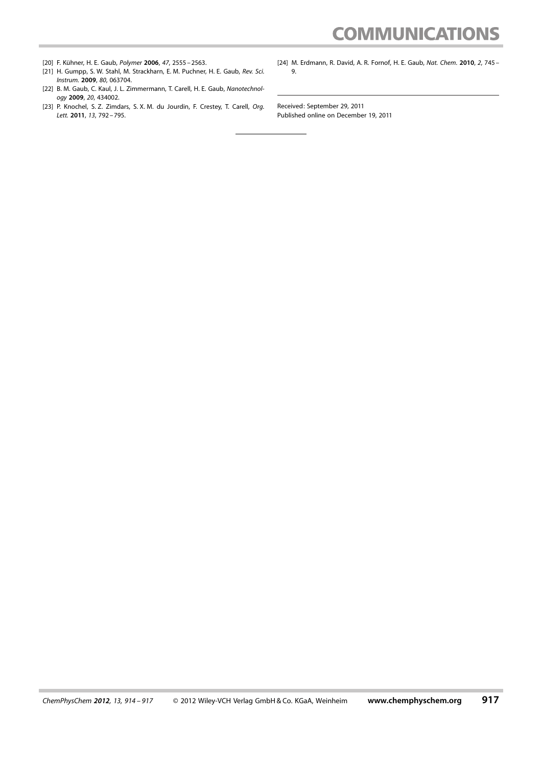# **COMMUNICATIONS**

- [20] F. Kühner, H. E. Gaub, [Polymer](http://dx.doi.org/10.1016/j.polymer.2005.12.090) 2006, 47, 2555 2563.
- [21] H. Gumpp, S. W. Stahl, M. Strackharn, E. M. Puchner, H. E. Gaub, [Rev. Sci.](http://dx.doi.org/10.1063/1.3148224)
- Instrum. 2009, 80[, 063704](http://dx.doi.org/10.1063/1.3148224). [22] B. M. Gaub, C. Kaul, J. L. Zimmermann, T. Carell, H. E. Gaub, [Nanotechnol](http://dx.doi.org/10.1088/0957-4484/20/43/434002)ogy 2009, 20[, 434002.](http://dx.doi.org/10.1088/0957-4484/20/43/434002)
- [23] P. Knochel, S. Z. Zimdars, S. X. M. du Jourdin, F. Crestey, T. Carell, Org. Lett. 2011, 13, 792 – 795.
- [24] M. Erdmann, R. David, A. R. Fornof, H. E. Gaub, [Nat. Chem.](http://dx.doi.org/10.1038/nchem.722) 2010, 2, 745 -[9](http://dx.doi.org/10.1038/nchem.722).

Received: September 29, 2011 Published online on December 19, 2011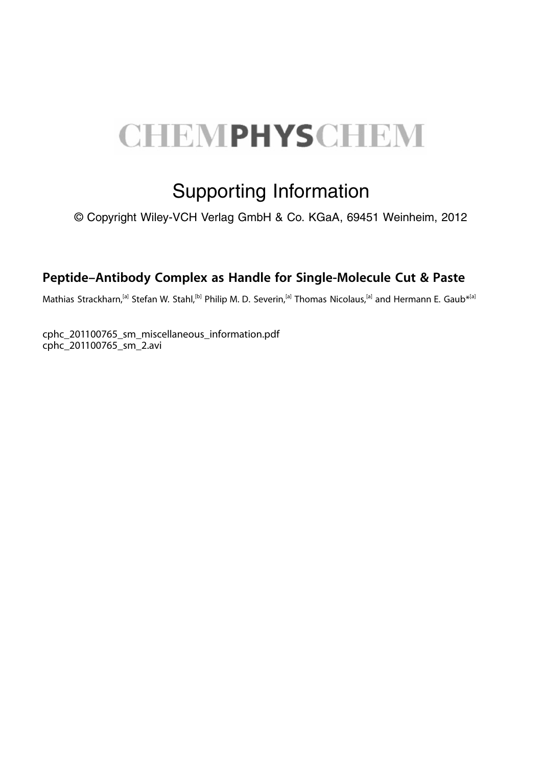# **CHEMPHYSCHEM**

# Supporting Information

© Copyright Wiley-VCH Verlag GmbH & Co. KGaA, 69451 Weinheim, 2012

### Peptide–Antibody Complex as Handle for Single-Molecule Cut & Paste

Mathias Strackharn,<sup>[a]</sup> Stefan W. Stahl,<sup>[b]</sup> Philip M. D. Severin,<sup>[a]</sup> Thomas Nicolaus,<sup>[a]</sup> and Hermann E. Gaub<sup>\*[a]</sup>

cphc\_201100765\_sm\_miscellaneous\_information.pdf cphc\_201100765\_sm\_2.avi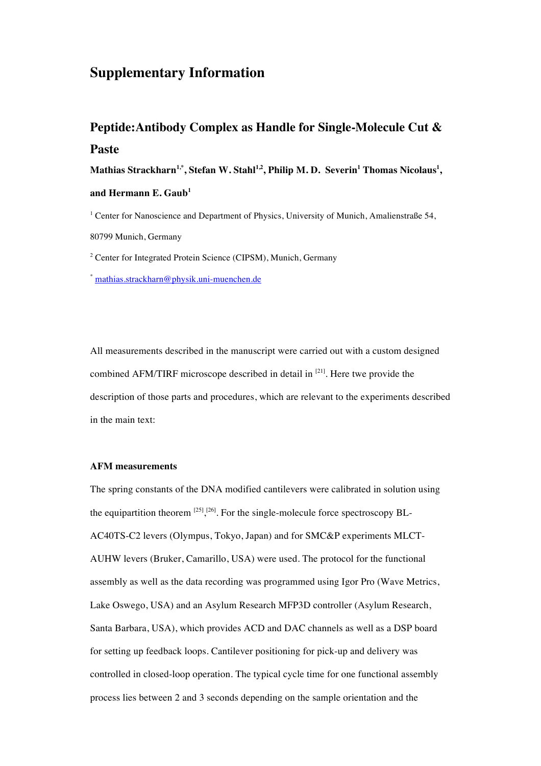### **Supplementary Information**

### **Peptide:Antibody Complex as Handle for Single-Molecule Cut & Paste**

 $\mathbf{Mathias\ Strackharn^{1,*},\ Stefan\ W.\ Stahl^{1,2},\ Philip\ M.\ D.\ Severin^{1}\ Thomas\ Nicolas^{1},}% \begin{equation} \left\vert \mathbf{Sim}\right\rangle \geq\mathbf{Sim}^{1}.\ \left\vert \mathbf{Sim}\right\rangle \geq\mathbf{Sim}^{1}.\ \left\vert \mathbf{Sim}\right\rangle \geq\mathbf{Sim}^{1}.\ \left\vert \mathbf{Sim}\right\rangle \geq\mathbf{Sim}^{1}.\ \left\vert \mathbf{Sim}\right\rangle \geq\mathbf{Sim}^{1}.\ \left\vert \mathbf{Sim}\right\rangle \geq\mathbf{Sim}^{1}.\ \left\vert \mathbf{Sim$ 

### **and Hermann E. Gaub<sup>1</sup>**

<sup>1</sup> Center for Nanoscience and Department of Physics, University of Munich, Amalienstraße 54, 80799 Munich, Germany

<sup>2</sup> Center for Integrated Protein Science (CIPSM), Munich, Germany

\* mathias.strackharn@physik.uni-muenchen.de

All measurements described in the manuscript were carried out with a custom designed combined AFM/TIRF microscope described in detail in <sup>[21]</sup>. Here twe provide the description of those parts and procedures, which are relevant to the experiments described in the main text:

### **AFM measurements**

The spring constants of the DNA modified cantilevers were calibrated in solution using the equipartition theorem  $^{[25]}$ ,  $^{[26]}$ . For the single-molecule force spectroscopy BL-AC40TS-C2 levers (Olympus, Tokyo, Japan) and for SMC&P experiments MLCT-AUHW levers (Bruker, Camarillo, USA) were used. The protocol for the functional assembly as well as the data recording was programmed using Igor Pro (Wave Metrics, Lake Oswego, USA) and an Asylum Research MFP3D controller (Asylum Research, Santa Barbara, USA), which provides ACD and DAC channels as well as a DSP board for setting up feedback loops. Cantilever positioning for pick-up and delivery was controlled in closed-loop operation. The typical cycle time for one functional assembly process lies between 2 and 3 seconds depending on the sample orientation and the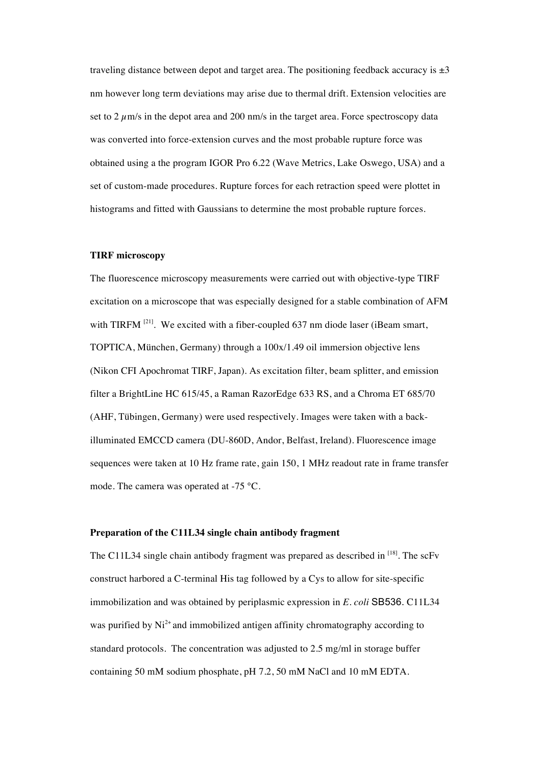traveling distance between depot and target area. The positioning feedback accuracy is  $\pm 3$ nm however long term deviations may arise due to thermal drift. Extension velocities are set to  $2 \mu$ m/s in the depot area and 200 nm/s in the target area. Force spectroscopy data was converted into force-extension curves and the most probable rupture force was obtained using a the program IGOR Pro 6.22 (Wave Metrics, Lake Oswego, USA) and a set of custom-made procedures. Rupture forces for each retraction speed were plottet in histograms and fitted with Gaussians to determine the most probable rupture forces.

### **TIRF microscopy**

The fluorescence microscopy measurements were carried out with objective-type TIRF excitation on a microscope that was especially designed for a stable combination of AFM with TIRFM  $^{[21]}$ . We excited with a fiber-coupled 637 nm diode laser (iBeam smart, TOPTICA, München, Germany) through a 100x/1.49 oil immersion objective lens (Nikon CFI Apochromat TIRF, Japan). As excitation filter, beam splitter, and emission filter a BrightLine HC 615/45, a Raman RazorEdge 633 RS, and a Chroma ET 685/70 (AHF, Tübingen, Germany) were used respectively. Images were taken with a backilluminated EMCCD camera (DU-860D, Andor, Belfast, Ireland). Fluorescence image sequences were taken at 10 Hz frame rate, gain 150, 1 MHz readout rate in frame transfer mode. The camera was operated at -75 °C.

### **Preparation of the C11L34 single chain antibody fragment**

The C11L34 single chain antibody fragment was prepared as described in <sup>[18]</sup>. The scFv construct harbored a C-terminal His tag followed by a Cys to allow for site-specific immobilization and was obtained by periplasmic expression in *E. coli* SB536. C11L34 was purified by  $Ni<sup>2+</sup>$  and immobilized antigen affinity chromatography according to standard protocols. The concentration was adjusted to 2.5 mg/ml in storage buffer containing 50 mM sodium phosphate, pH 7.2, 50 mM NaCl and 10 mM EDTA.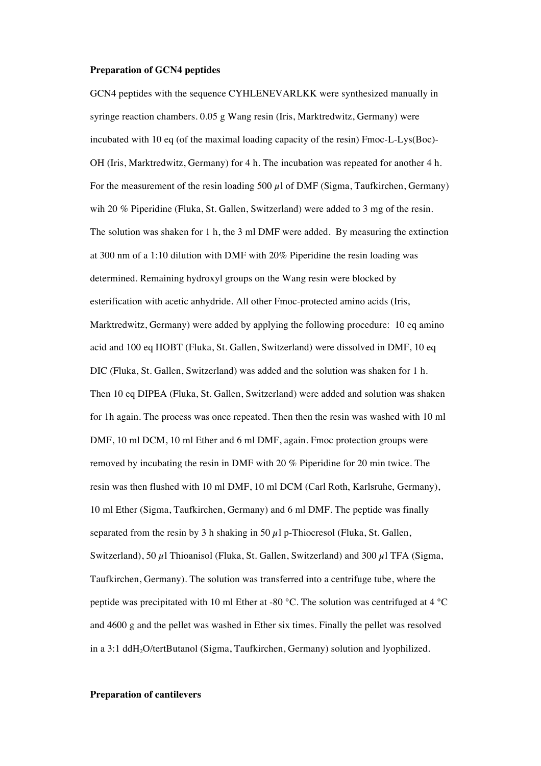#### **Preparation of GCN4 peptides**

GCN4 peptides with the sequence CYHLENEVARLKK were synthesized manually in syringe reaction chambers. 0.05 g Wang resin (Iris, Marktredwitz, Germany) were incubated with 10 eq (of the maximal loading capacity of the resin) Fmoc-L-Lys(Boc)- OH (Iris, Marktredwitz, Germany) for 4 h. The incubation was repeated for another 4 h. For the measurement of the resin loading 500  $\mu$ l of DMF (Sigma, Taufkirchen, Germany) wih 20 % Piperidine (Fluka, St. Gallen, Switzerland) were added to 3 mg of the resin. The solution was shaken for 1 h, the 3 ml DMF were added. By measuring the extinction at 300 nm of a 1:10 dilution with DMF with 20% Piperidine the resin loading was determined. Remaining hydroxyl groups on the Wang resin were blocked by esterification with acetic anhydride. All other Fmoc-protected amino acids (Iris, Marktredwitz, Germany) were added by applying the following procedure: 10 eq amino acid and 100 eq HOBT (Fluka, St. Gallen, Switzerland) were dissolved in DMF, 10 eq DIC (Fluka, St. Gallen, Switzerland) was added and the solution was shaken for 1 h. Then 10 eq DIPEA (Fluka, St. Gallen, Switzerland) were added and solution was shaken for 1h again. The process was once repeated. Then then the resin was washed with 10 ml DMF, 10 ml DCM, 10 ml Ether and 6 ml DMF, again. Fmoc protection groups were removed by incubating the resin in DMF with 20 % Piperidine for 20 min twice. The resin was then flushed with 10 ml DMF, 10 ml DCM (Carl Roth, Karlsruhe, Germany), 10 ml Ether (Sigma, Taufkirchen, Germany) and 6 ml DMF. The peptide was finally separated from the resin by 3 h shaking in 50  $\mu$ l p-Thiocresol (Fluka, St. Gallen, Switzerland), 50 µl Thioanisol (Fluka, St. Gallen, Switzerland) and 300 µl TFA (Sigma, Taufkirchen, Germany). The solution was transferred into a centrifuge tube, where the peptide was precipitated with 10 ml Ether at -80 °C. The solution was centrifuged at 4 °C and 4600 g and the pellet was washed in Ether six times. Finally the pellet was resolved in a 3:1 ddH<sub>2</sub>O/tertButanol (Sigma, Taufkirchen, Germany) solution and lyophilized.

#### **Preparation of cantilevers**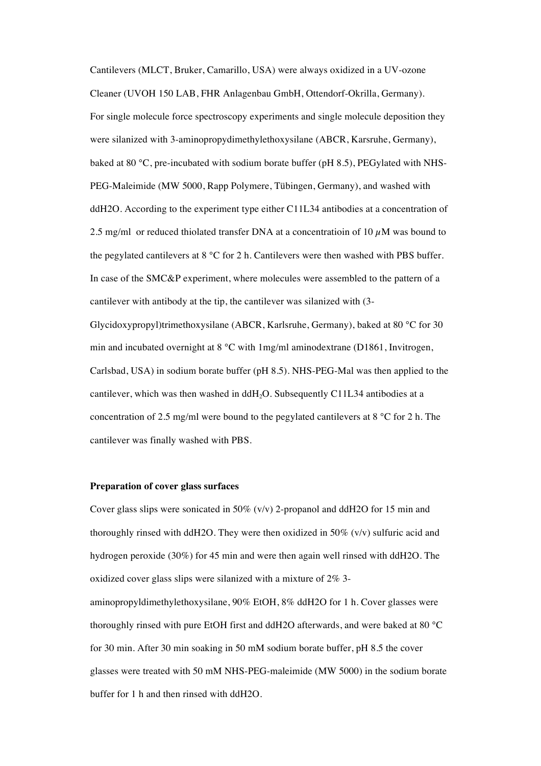Cantilevers (MLCT, Bruker, Camarillo, USA) were always oxidized in a UV-ozone Cleaner (UVOH 150 LAB, FHR Anlagenbau GmbH, Ottendorf-Okrilla, Germany). For single molecule force spectroscopy experiments and single molecule deposition they were silanized with 3-aminopropydimethylethoxysilane (ABCR, Karsruhe, Germany), baked at 80 °C, pre-incubated with sodium borate buffer (pH 8.5), PEGylated with NHS-PEG-Maleimide (MW 5000, Rapp Polymere, Tübingen, Germany), and washed with ddH2O. According to the experiment type either C11L34 antibodies at a concentration of 2.5 mg/ml or reduced thiolated transfer DNA at a concentration of 10  $\mu$ M was bound to the pegylated cantilevers at 8 °C for 2 h. Cantilevers were then washed with PBS buffer. In case of the SMC&P experiment, where molecules were assembled to the pattern of a cantilever with antibody at the tip, the cantilever was silanized with (3-

Glycidoxypropyl)trimethoxysilane (ABCR, Karlsruhe, Germany), baked at 80 °C for 30 min and incubated overnight at  $8^{\circ}$ C with  $1 \text{mg/ml}}$  aminodextrane (D1861, Invitrogen, Carlsbad, USA) in sodium borate buffer (pH 8.5). NHS-PEG-Mal was then applied to the cantilever, which was then washed in ddH<sub>2</sub>O. Subsequently C11L34 antibodies at a concentration of 2.5 mg/ml were bound to the pegylated cantilevers at 8 °C for 2 h. The cantilever was finally washed with PBS.

#### **Preparation of cover glass surfaces**

Cover glass slips were sonicated in 50% (v/v) 2-propanol and ddH2O for 15 min and thoroughly rinsed with ddH2O. They were then oxidized in 50% (v/v) sulfuric acid and hydrogen peroxide (30%) for 45 min and were then again well rinsed with ddH2O. The oxidized cover glass slips were silanized with a mixture of 2% 3-

aminopropyldimethylethoxysilane, 90% EtOH, 8% ddH2O for 1 h. Cover glasses were thoroughly rinsed with pure EtOH first and ddH2O afterwards, and were baked at 80 °C for 30 min. After 30 min soaking in 50 mM sodium borate buffer, pH 8.5 the cover glasses were treated with 50 mM NHS-PEG-maleimide (MW 5000) in the sodium borate buffer for 1 h and then rinsed with ddH2O.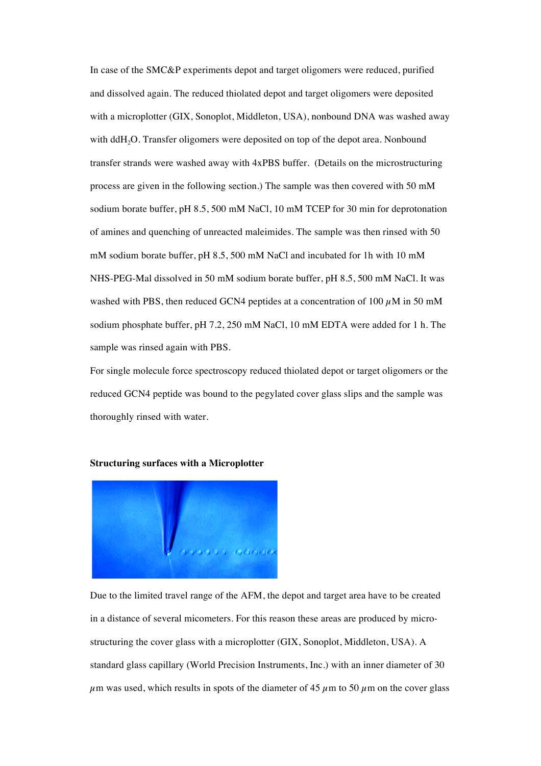In case of the SMC&P experiments depot and target oligomers were reduced, purified and dissolved again. The reduced thiolated depot and target oligomers were deposited with a microplotter (GIX, Sonoplot, Middleton, USA), nonbound DNA was washed away with ddH<sub>2</sub>O. Transfer oligomers were deposited on top of the depot area. Nonbound transfer strands were washed away with 4xPBS buffer. (Details on the microstructuring process are given in the following section.) The sample was then covered with 50 mM sodium borate buffer, pH 8.5, 500 mM NaCl, 10 mM TCEP for 30 min for deprotonation of amines and quenching of unreacted maleimides. The sample was then rinsed with 50 mM sodium borate buffer, pH 8.5, 500 mM NaCl and incubated for 1h with 10 mM NHS-PEG-Mal dissolved in 50 mM sodium borate buffer, pH 8.5, 500 mM NaCl. It was washed with PBS, then reduced GCN4 peptides at a concentration of 100  $\mu$ M in 50 mM sodium phosphate buffer, pH 7.2, 250 mM NaCl, 10 mM EDTA were added for 1 h. The sample was rinsed again with PBS.

For single molecule force spectroscopy reduced thiolated depot or target oligomers or the reduced GCN4 peptide was bound to the pegylated cover glass slips and the sample was thoroughly rinsed with water.



#### **Structuring surfaces with a Microplotter**

Due to the limited travel range of the AFM, the depot and target area have to be created in a distance of several micometers. For this reason these areas are produced by microstructuring the cover glass with a microplotter (GIX, Sonoplot, Middleton, USA). A standard glass capillary (World Precision Instruments, Inc.) with an inner diameter of 30  $\mu$ m was used, which results in spots of the diameter of 45  $\mu$ m to 50  $\mu$ m on the cover glass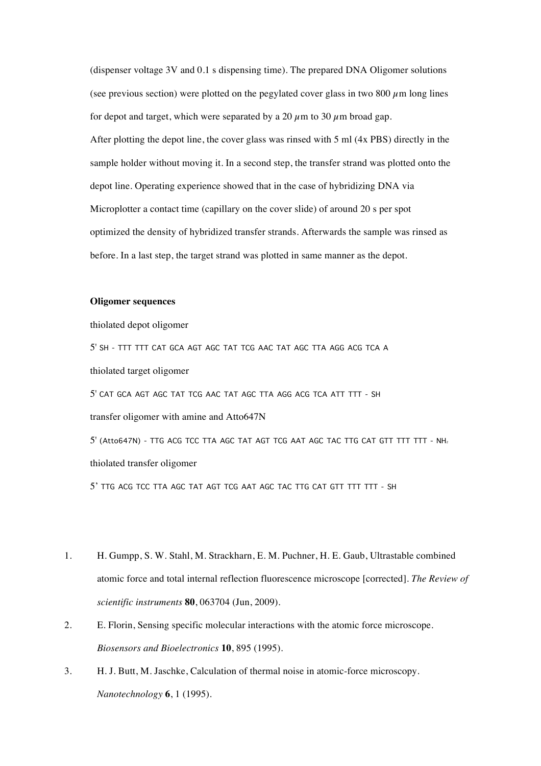(dispenser voltage 3V and 0.1 s dispensing time). The prepared DNA Oligomer solutions (see previous section) were plotted on the pegylated cover glass in two 800  $\mu$ m long lines for depot and target, which were separated by a 20  $\mu$ m to 30  $\mu$ m broad gap. After plotting the depot line, the cover glass was rinsed with 5 ml (4x PBS) directly in the sample holder without moving it. In a second step, the transfer strand was plotted onto the depot line. Operating experience showed that in the case of hybridizing DNA via Microplotter a contact time (capillary on the cover slide) of around 20 s per spot optimized the density of hybridized transfer strands. Afterwards the sample was rinsed as before. In a last step, the target strand was plotted in same manner as the depot.

### **Oligomer sequences**

thiolated depot oligomer

5' SH - TTT TTT CAT GCA AGT AGC TAT TCG AAC TAT AGC TTA AGG ACG TCA A thiolated target oligomer 5' CAT GCA AGT AGC TAT TCG AAC TAT AGC TTA AGG ACG TCA ATT TTT - SH transfer oligomer with amine and Atto647N 5' (Atto647N) - TTG ACG TCC TTA AGC TAT AGT TCG AAT AGC TAC TTG CAT GTT TTT TTT - NH2 thiolated transfer oligomer 5' TTG ACG TCC TTA AGC TAT AGT TCG AAT AGC TAC TTG CAT GTT TTT TTT - SH

- 1. H. Gumpp, S. W. Stahl, M. Strackharn, E. M. Puchner, H. E. Gaub, Ultrastable combined atomic force and total internal reflection fluorescence microscope [corrected]. *The Review of scientific instruments* **80**, 063704 (Jun, 2009).
- 2. E. Florin, Sensing specific molecular interactions with the atomic force microscope. *Biosensors and Bioelectronics* **10**, 895 (1995).
- 3. H. J. Butt, M. Jaschke, Calculation of thermal noise in atomic-force microscopy. *Nanotechnology* **6**, 1 (1995).